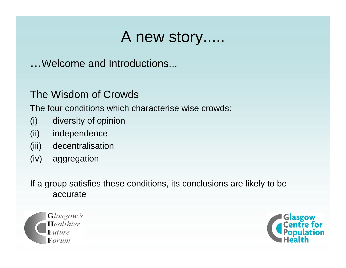...Welcome and Introductions...

### The Wisdom of Crowds

The four conditions which characterise wise crowds:

- (i) diversity of opinion
- (ii) independence
- (iii) decentralisation
- (iv) aggregation

If a group satisfies these conditions, its conclusions are likely to be accurate



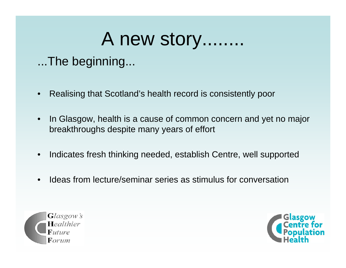...The beginning...

- •Realising that Scotland's health record is consistently poor
- $\bullet$  In Glasgow, health is a cause of common concern and yet no major breakthroughs despite many years of effort
- •Indicates fresh thinking needed, establish Centre, well supported
- •Ideas from lecture/seminar series as stimulus for conversation



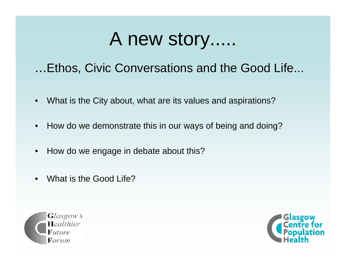...Ethos, Civic Conversations and the Good Life...

- •What is the City about, what are its values and aspirations?
- •How do we demonstrate this in our ways of being and doing?
- •How do we engage in debate about this?
- •What is the Good Life?



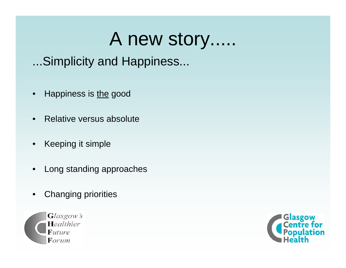...Simplicity and Happiness...

- •Happiness is the good
- •Relative versus absolute
- $\bullet$ Keeping it simple
- •Long standing approaches
- $\bullet$ Changing priorities



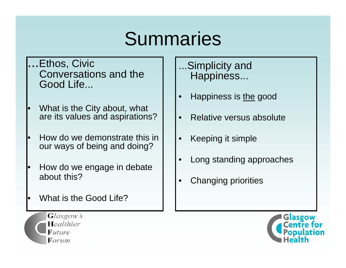# Summaries

- .Ethos, Civic Conversations and the Good Life...
- • What is the City about, what are its values and aspirations?
- • How do we demonstrate this in our ways of being and doing?
- • How do we engage in debate about this?
- •What is the Good Life?

...Simplicity and Happiness...

- •Happiness is the good
- •Relative versus absolute
- •Keeping it simple
- •Long standing approaches
- •Changing priorities



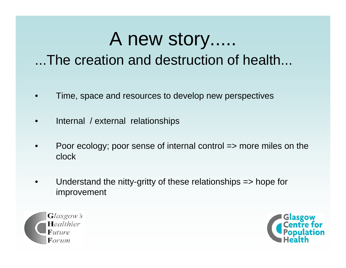...The creation and destruction of health...

- •Time, space and resources to develop new perspectives
- •Internal / external relationships
- • Poor ecology; poor sense of internal control => more miles on the clock
- • Understand the nitty-gritty of these relationships => hope for improvement



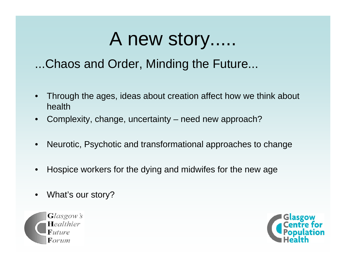### ...Chaos and Order, Minding the Future...

- • Through the ages, ideas about creation affect how we think about health
- $\bullet$ Complexity, change, uncertainty – need new approach?
- •Neurotic, Psychotic and transformational approaches to change
- •Hospice workers for the dying and midwifes for the new age
- $\bullet$ What's our story?



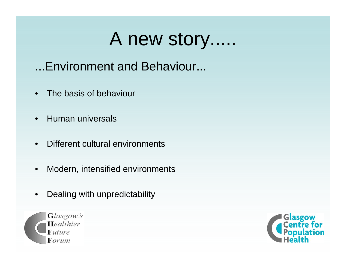- ...Environment and Behaviour...
- $\bullet$ The basis of behaviour
- •Human universals
- •Different cultural environments
- •Modern, intensified environments
- $\bullet$ Dealing with unpredictability



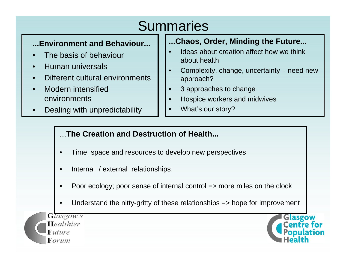### **Summaries**

#### **...Environment and Behaviour...**

- •The basis of behaviour
- •Human universals
- •Different cultural environments
- • Modern intensified environments
- •Dealing with unpredictability

#### **...Chaos, Order, Minding the Future...**

- • Ideas about creation affect how we think about health
- • Complexity, change, uncertainty – need new approach?
- •3 approaches to change
- •Hospice workers and midwives
- •What's our story?

#### ...**The Creation and Destruction of Health...**

- •Time, space and resources to develop new perspectives
- •Internal / external relationships
- •Poor ecology; poor sense of internal control => more miles on the clock
- •Understand the nitty-gritty of these relationships => hope for improvement

**Glasgow's** Healthier  $F$ uture Forum